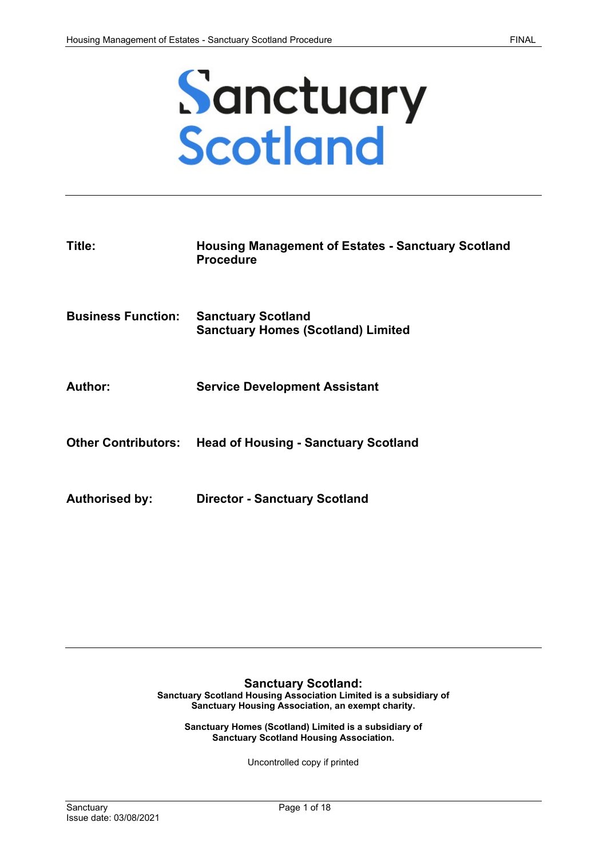

| Title:                     | <b>Housing Management of Estates - Sanctuary Scotland</b><br><b>Procedure</b> |
|----------------------------|-------------------------------------------------------------------------------|
| <b>Business Function:</b>  | <b>Sanctuary Scotland</b><br><b>Sanctuary Homes (Scotland) Limited</b>        |
| Author:                    | <b>Service Development Assistant</b>                                          |
| <b>Other Contributors:</b> | <b>Head of Housing - Sanctuary Scotland</b>                                   |
| <b>Authorised by:</b>      | <b>Director - Sanctuary Scotland</b>                                          |

#### **Sanctuary Scotland:**

**Sanctuary Scotland Housing Association Limited is a subsidiary of Sanctuary Housing Association, an exempt charity.**

**Sanctuary Homes (Scotland) Limited is a subsidiary of Sanctuary Scotland Housing Association.**

Uncontrolled copy if printed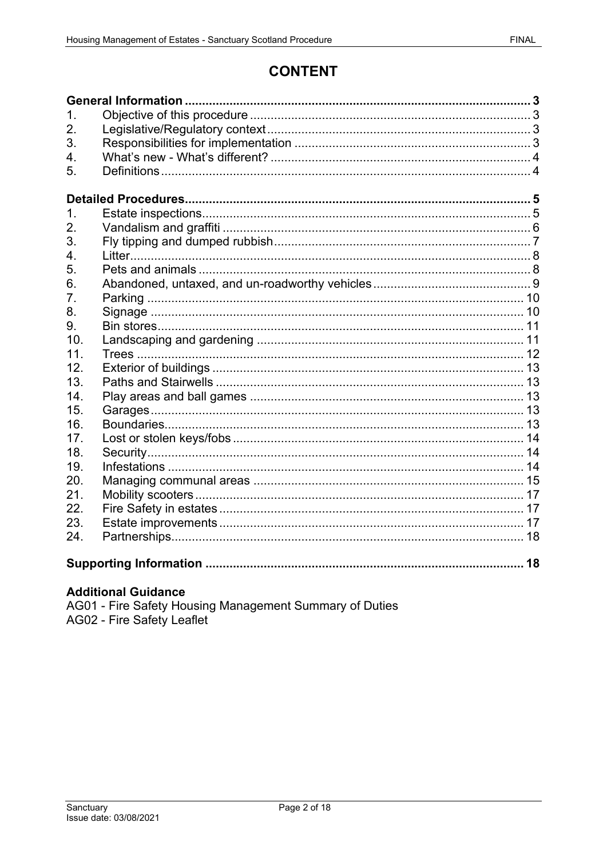# **CONTENT**

| $\mathbf 1$ .<br>2.<br>3.<br>4.<br>5. |  |
|---------------------------------------|--|
|                                       |  |
| 1.                                    |  |
| 2.                                    |  |
| 3.                                    |  |
| 4.                                    |  |
| 5.                                    |  |
| 6.                                    |  |
| 7.                                    |  |
| 8.                                    |  |
| 9.                                    |  |
| 10 <sub>1</sub>                       |  |
| 11.                                   |  |
| 12.                                   |  |
| 13.                                   |  |
| 14.                                   |  |
| 15.                                   |  |
| 16.                                   |  |
| 17 <sub>1</sub>                       |  |
| 18.                                   |  |
| 19.                                   |  |
| 20.                                   |  |
| 21.                                   |  |
| 22.                                   |  |
| 23.                                   |  |
| 24.                                   |  |
|                                       |  |

## **Additional Guidance**

AG01 - Fire Safety Housing Management Summary of Duties AG02 - Fire Safety Leaflet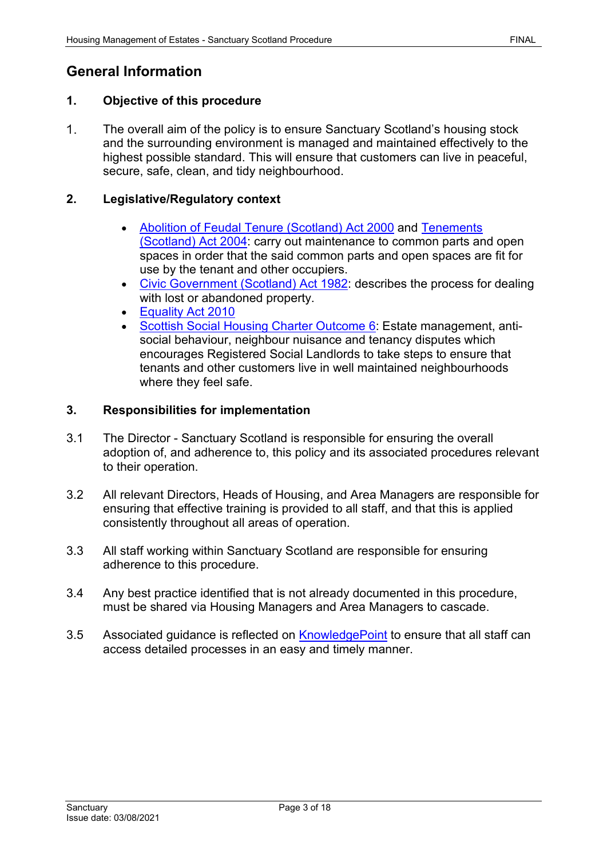## <span id="page-2-0"></span>**General Information**

## <span id="page-2-1"></span>**1. Objective of this procedure**

 $1<sub>1</sub>$ The overall aim of the policy is to ensure Sanctuary Scotland's housing stock and the surrounding environment is managed and maintained effectively to the highest possible standard. This will ensure that customers can live in peaceful, secure, safe, clean, and tidy neighbourhood.

## <span id="page-2-2"></span>**2. Legislative/Regulatory context**

- [Abolition of Feudal Tenure \(Scotland\) Act 2000](http://www.legislation.gov.uk/asp/2000/5/contents) and [Tenements](http://www.legislation.gov.uk/asp/2004/11/contents)  [\(Scotland\) Act 2004:](http://www.legislation.gov.uk/asp/2004/11/contents) carry out maintenance to common parts and open spaces in order that the said common parts and open spaces are fit for use by the tenant and other occupiers.
- [Civic Government \(Scotland\) Act 1982:](http://www.legislation.gov.uk/ukpga/1982/45/contents) describes the process for dealing with lost or abandoned property.
- [Equality Act 2010](http://www.legislation.gov.uk/ukpga/2010/15/contents)
- [Scottish Social Housing Charter Outcome 6:](https://www.gov.scot/publications/scottish-social-housing-charter-april-2017/) Estate management, antisocial behaviour, neighbour nuisance and tenancy disputes which encourages Registered Social Landlords to take steps to ensure that tenants and other customers live in well maintained neighbourhoods where they feel safe.

## <span id="page-2-3"></span>**3. Responsibilities for implementation**

- 3.1 The Director Sanctuary Scotland is responsible for ensuring the overall adoption of, and adherence to, this policy and its associated procedures relevant to their operation.
- 3.2 All relevant Directors, Heads of Housing, and Area Managers are responsible for ensuring that effective training is provided to all staff, and that this is applied consistently throughout all areas of operation.
- 3.3 All staff working within Sanctuary Scotland are responsible for ensuring adherence to this procedure.
- 3.4 Any best practice identified that is not already documented in this procedure, must be shared via Housing Managers and Area Managers to cascade.
- 3.5 Associated guidance is reflected on **KnowledgePoint** to ensure that all staff can access detailed processes in an easy and timely manner.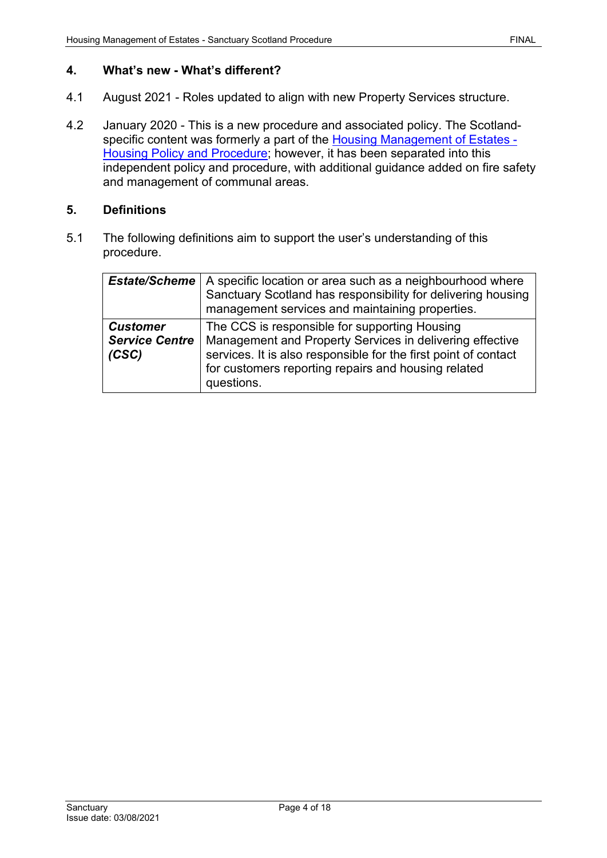## <span id="page-3-0"></span>**4. What's new - What's different?**

- 4.1 August 2021 Roles updated to align with new Property Services structure.
- 4.2 January 2020 This is a new procedure and associated policy. The Scotland-specific content was formerly a part of the [Housing Management of Estates -](https://solis/PolicyManagement/policy/Policies/Forms/Policy%20Document%20Set/docsethomepage.aspx?ID=4567&FolderCTID=0x0120D52000DE99EA054D4DF944BE591D81E49729D0008C670BDB86BED740B0B89E295CD8357C&List=a03723e1-d48b-4958-9669-9b86a90ef8b0&RootFolder=%2FPolicyManagement%2Fpolicy%2FPolicies%2FHousing%20Management%20of%20Estates%20%2D%20Housing&RecSrc=%2FPolicyManagement%2Fpolicy%2FPolicies%2FHousing%20Management%20of%20Estates%20%2D%20Housing) [Housing Policy and Procedure;](https://solis/PolicyManagement/policy/Policies/Forms/Policy%20Document%20Set/docsethomepage.aspx?ID=4567&FolderCTID=0x0120D52000DE99EA054D4DF944BE591D81E49729D0008C670BDB86BED740B0B89E295CD8357C&List=a03723e1-d48b-4958-9669-9b86a90ef8b0&RootFolder=%2FPolicyManagement%2Fpolicy%2FPolicies%2FHousing%20Management%20of%20Estates%20%2D%20Housing&RecSrc=%2FPolicyManagement%2Fpolicy%2FPolicies%2FHousing%20Management%20of%20Estates%20%2D%20Housing) however, it has been separated into this independent policy and procedure, with additional guidance added on fire safety and management of communal areas.

#### <span id="page-3-1"></span>**5. Definitions**

5.1 The following definitions aim to support the user's understanding of this procedure.

| <b>Estate/Scheme</b>                              | A specific location or area such as a neighbourhood where<br>Sanctuary Scotland has responsibility for delivering housing<br>management services and maintaining properties.                                                                      |
|---------------------------------------------------|---------------------------------------------------------------------------------------------------------------------------------------------------------------------------------------------------------------------------------------------------|
| <b>Customer</b><br><b>Service Centre</b><br>(CSC) | The CCS is responsible for supporting Housing<br>Management and Property Services in delivering effective<br>services. It is also responsible for the first point of contact<br>for customers reporting repairs and housing related<br>questions. |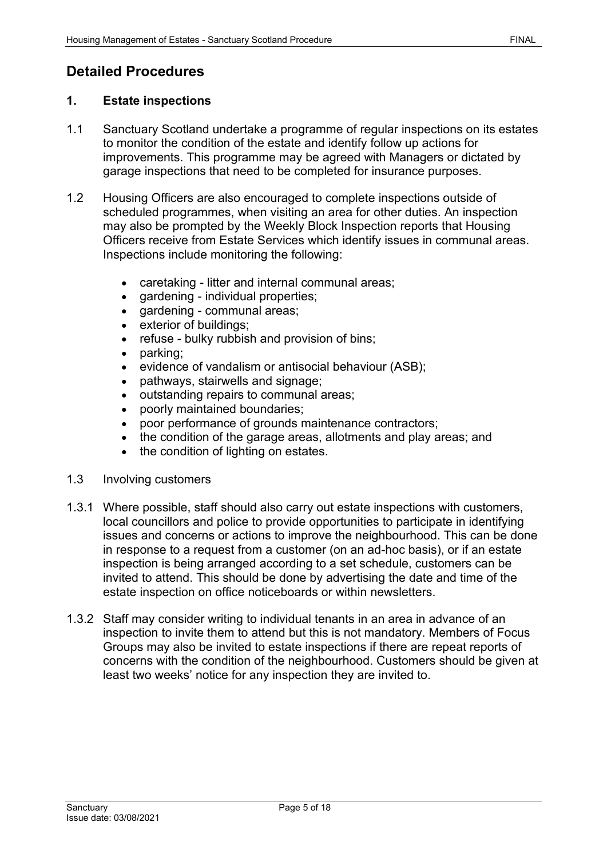# <span id="page-4-0"></span>**Detailed Procedures**

## <span id="page-4-1"></span>**1. Estate inspections**

- 1.1 Sanctuary Scotland undertake a programme of regular inspections on its estates to monitor the condition of the estate and identify follow up actions for improvements. This programme may be agreed with Managers or dictated by garage inspections that need to be completed for insurance purposes.
- 1.2 Housing Officers are also encouraged to complete inspections outside of scheduled programmes, when visiting an area for other duties. An inspection may also be prompted by the Weekly Block Inspection reports that Housing Officers receive from Estate Services which identify issues in communal areas. Inspections include monitoring the following:
	- caretaking litter and internal communal areas;
	- gardening individual properties;
	- gardening communal areas;
	- exterior of buildings;
	- refuse bulky rubbish and provision of bins;
	- parking;
	- evidence of vandalism or antisocial behaviour (ASB);
	- pathways, stairwells and signage;
	- outstanding repairs to communal areas;
	- poorly maintained boundaries;
	- poor performance of grounds maintenance contractors;
	- the condition of the garage areas, allotments and play areas; and
	- the condition of lighting on estates.
- 1.3 Involving customers
- 1.3.1 Where possible, staff should also carry out estate inspections with customers, local councillors and police to provide opportunities to participate in identifying issues and concerns or actions to improve the neighbourhood. This can be done in response to a request from a customer (on an ad-hoc basis), or if an estate inspection is being arranged according to a set schedule, customers can be invited to attend. This should be done by advertising the date and time of the estate inspection on office noticeboards or within newsletters.
- 1.3.2 Staff may consider writing to individual tenants in an area in advance of an inspection to invite them to attend but this is not mandatory. Members of Focus Groups may also be invited to estate inspections if there are repeat reports of concerns with the condition of the neighbourhood. Customers should be given at least two weeks' notice for any inspection they are invited to.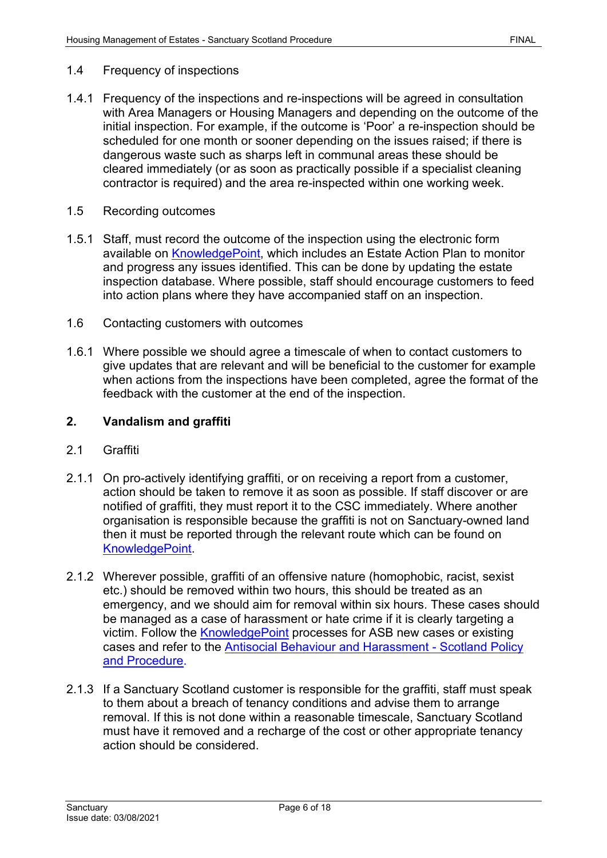#### 1.4 Frequency of inspections

- 1.4.1 Frequency of the inspections and re-inspections will be agreed in consultation with Area Managers or Housing Managers and depending on the outcome of the initial inspection. For example, if the outcome is 'Poor' a re-inspection should be scheduled for one month or sooner depending on the issues raised; if there is dangerous waste such as sharps left in communal areas these should be cleared immediately (or as soon as practically possible if a specialist cleaning contractor is required) and the area re-inspected within one working week.
- 1.5 Recording outcomes
- 1.5.1 Staff, must record the outcome of the inspection using the electronic form available on [KnowledgePoint,](https://knowledgepoint/housing/processes/grtenancyprocess/Pages/EstateInspections.aspx) which includes an Estate Action Plan to monitor and progress any issues identified. This can be done by updating the estate inspection database. Where possible, staff should encourage customers to feed into action plans where they have accompanied staff on an inspection.
- 1.6 Contacting customers with outcomes
- 1.6.1 Where possible we should agree a timescale of when to contact customers to give updates that are relevant and will be beneficial to the customer for example when actions from the inspections have been completed, agree the format of the feedback with the customer at the end of the inspection.

#### <span id="page-5-0"></span>**2. Vandalism and graffiti**

- 2.1 Graffiti
- 2.1.1 On pro-actively identifying graffiti, or on receiving a report from a customer, action should be taken to remove it as soon as possible. If staff discover or are notified of graffiti, they must report it to the CSC immediately. Where another organisation is responsible because the graffiti is not on Sanctuary-owned land then it must be reported through the relevant route which can be found on [KnowledgePoint.](https://knowledgepoint/housing/processes/grtenancyprocess/Pages/Graffiti.aspx)
- 2.1.2 Wherever possible, graffiti of an offensive nature (homophobic, racist, sexist etc.) should be removed within two hours, this should be treated as an emergency, and we should aim for removal within six hours. These cases should be managed as a case of harassment or hate crime if it is clearly targeting a victim. Follow the **KnowledgePoint** processes for ASB new cases or existing [cases](https://knowledgepoint/housing/processes/grtenancyprocess/Pages/asbgrouped.aspx) and refer to the [Antisocial Behaviour and Harassment -](https://solis/PolicyManagement/policy/Policies/Forms/Policy%20Document%20Set/docsethomepage.aspx?ID=4360&FolderCTID=0x0120D52000DE99EA054D4DF944BE591D81E49729D0008C670BDB86BED740B0B89E295CD8357C&List=a03723e1-d48b-4958-9669-9b86a90ef8b0&RootFolder=%2FPolicyManagement%2Fpolicy%2FPolicies%2FAntisocial%20Behaviour%20and%20Harassment%20%2D%20Scotland&RecSrc=%2FPolicyManagement%2Fpolicy%2FPolicies%2FAntisocial%20Behaviour%20and%20Harassment%20%2D%20Scotland) Scotland Policy and Procedure.
- 2.1.3 If a Sanctuary Scotland customer is responsible for the graffiti, staff must speak to them about a breach of tenancy conditions and advise them to arrange removal. If this is not done within a reasonable timescale, Sanctuary Scotland must have it removed and a recharge of the cost or other appropriate tenancy action should be considered.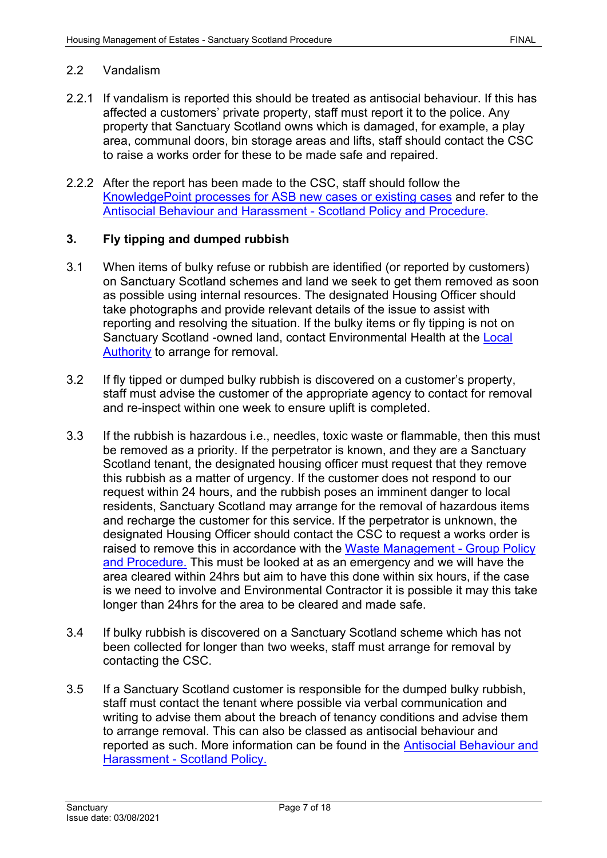#### 2.2 Vandalism

- 2.2.1 If vandalism is reported this should be treated as antisocial behaviour. If this has affected a customers' private property, staff must report it to the police. Any property that Sanctuary Scotland owns which is damaged, for example, a play area, communal doors, bin storage areas and lifts, staff should contact the CSC to raise a works order for these to be made safe and repaired.
- 2.2.2 After the report has been made to the CSC, staff should follow the [KnowledgePoint processes for ASB new cases or existing cases](https://knowledgepoint/housing/processes/grtenancyprocess/Pages/asbgrouped.aspx) and refer to the [Antisocial Behaviour and Harassment -](https://solis/PolicyManagement/policy/Policies/Forms/Policy%20Document%20Set/docsethomepage.aspx?ID=4360&FolderCTID=0x0120D52000DE99EA054D4DF944BE591D81E49729D0008C670BDB86BED740B0B89E295CD8357C&List=a03723e1-d48b-4958-9669-9b86a90ef8b0&RootFolder=%2FPolicyManagement%2Fpolicy%2FPolicies%2FAntisocial%20Behaviour%20and%20Harassment%20%2D%20Scotland&RecSrc=%2FPolicyManagement%2Fpolicy%2FPolicies%2FAntisocial%20Behaviour%20and%20Harassment%20%2D%20Scotland) Scotland Policy and Procedure.

#### <span id="page-6-0"></span>**3. Fly tipping and dumped rubbish**

- 3.1 When items of bulky refuse or rubbish are identified (or reported by customers) on Sanctuary Scotland schemes and land we seek to get them removed as soon as possible using internal resources. The designated Housing Officer should take photographs and provide relevant details of the issue to assist with reporting and resolving the situation. If the bulky items or fly tipping is not on Sanctuary Scotland -owned land, contact Environmental Health at the [Local](https://www.gov.uk/report-flytipping)  [Authority](https://www.gov.uk/report-flytipping) to arrange for removal.
- 3.2 If fly tipped or dumped bulky rubbish is discovered on a customer's property, staff must advise the customer of the appropriate agency to contact for removal and re-inspect within one week to ensure uplift is completed.
- 3.3 If the rubbish is hazardous i.e., needles, toxic waste or flammable, then this must be removed as a priority. If the perpetrator is known, and they are a Sanctuary Scotland tenant, the designated housing officer must request that they remove this rubbish as a matter of urgency. If the customer does not respond to our request within 24 hours, and the rubbish poses an imminent danger to local residents, Sanctuary Scotland may arrange for the removal of hazardous items and recharge the customer for this service. If the perpetrator is unknown, the designated Housing Officer should contact the CSC to request a works order is raised to remove this in accordance with the [Waste Management -](https://solis/PolicyManagement/policy/Policies/Forms/Policy%20Document%20Set/docsethomepage.aspx?ID=4302&FolderCTID=0x0120D52000DE99EA054D4DF944BE591D81E49729D0008C670BDB86BED740B0B89E295CD8357C&List=a03723e1-d48b-4958-9669-9b86a90ef8b0&RootFolder=%2FPolicyManagement%2Fpolicy%2FPolicies%2FWaste%20Management%20%2D%20Group&RecSrc=%2FPolicyManagement%2Fpolicy%2FPolicies%2FWaste%20Management%20%2D%20Group) Group Policy [and Procedure.](https://solis/PolicyManagement/policy/Policies/Forms/Policy%20Document%20Set/docsethomepage.aspx?ID=4302&FolderCTID=0x0120D52000DE99EA054D4DF944BE591D81E49729D0008C670BDB86BED740B0B89E295CD8357C&List=a03723e1-d48b-4958-9669-9b86a90ef8b0&RootFolder=%2FPolicyManagement%2Fpolicy%2FPolicies%2FWaste%20Management%20%2D%20Group&RecSrc=%2FPolicyManagement%2Fpolicy%2FPolicies%2FWaste%20Management%20%2D%20Group) This must be looked at as an emergency and we will have the area cleared within 24hrs but aim to have this done within six hours, if the case is we need to involve and Environmental Contractor it is possible it may this take longer than 24hrs for the area to be cleared and made safe.
- 3.4 If bulky rubbish is discovered on a Sanctuary Scotland scheme which has not been collected for longer than two weeks, staff must arrange for removal by contacting the CSC.
- 3.5 If a Sanctuary Scotland customer is responsible for the dumped bulky rubbish, staff must contact the tenant where possible via verbal communication and writing to advise them about the breach of tenancy conditions and advise them to arrange removal. This can also be classed as antisocial behaviour and reported as such. More information can be found in the [Antisocial Behaviour and](https://solis/PolicyManagement/policy/Policies/Forms/Policy%20Document%20Set/docsethomepage.aspx?ID=4360&FolderCTID=0x0120D52000DE99EA054D4DF944BE591D81E49729D0008C670BDB86BED740B0B89E295CD8357C&List=a03723e1-d48b-4958-9669-9b86a90ef8b0&RootFolder=%2FPolicyManagement%2Fpolicy%2FPolicies%2FAntisocial%20Behaviour%20and%20Harassment%20%2D%20Scotland&RecSrc=%2FPolicyManagement%2Fpolicy%2FPolicies%2FAntisocial%20Behaviour%20and%20Harassment%20%2D%20Scotland)  [Harassment -](https://solis/PolicyManagement/policy/Policies/Forms/Policy%20Document%20Set/docsethomepage.aspx?ID=4360&FolderCTID=0x0120D52000DE99EA054D4DF944BE591D81E49729D0008C670BDB86BED740B0B89E295CD8357C&List=a03723e1-d48b-4958-9669-9b86a90ef8b0&RootFolder=%2FPolicyManagement%2Fpolicy%2FPolicies%2FAntisocial%20Behaviour%20and%20Harassment%20%2D%20Scotland&RecSrc=%2FPolicyManagement%2Fpolicy%2FPolicies%2FAntisocial%20Behaviour%20and%20Harassment%20%2D%20Scotland) Scotland Policy.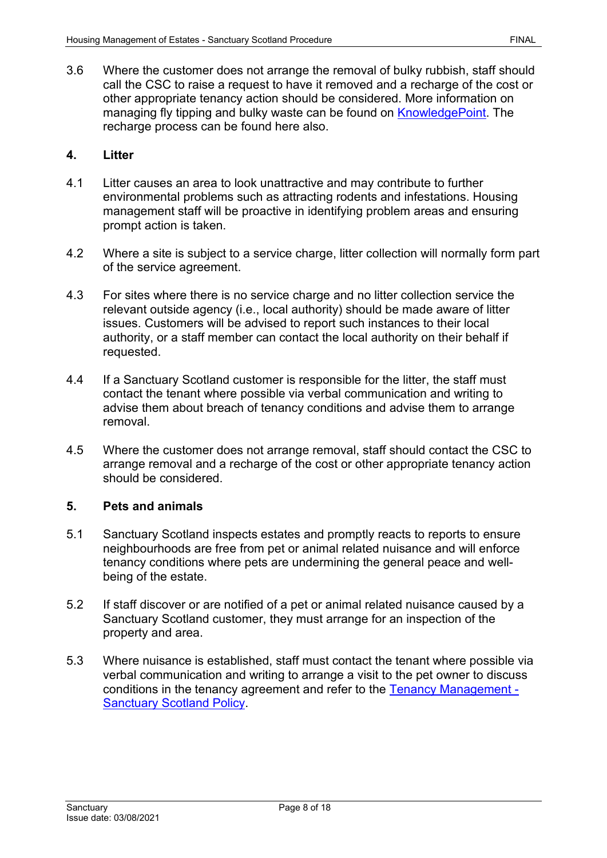3.6 Where the customer does not arrange the removal of bulky rubbish, staff should call the CSC to raise a request to have it removed and a recharge of the cost or other appropriate tenancy action should be considered. More information on managing fly tipping and bulky waste can be found on [KnowledgePoint.](https://knowledgepoint/housing/processes/grtenancyprocess/Pages/flytippingbulkywaste.aspx) The recharge process can be found here also.

#### <span id="page-7-0"></span>**4. Litter**

- 4.1 Litter causes an area to look unattractive and may contribute to further environmental problems such as attracting rodents and infestations. Housing management staff will be proactive in identifying problem areas and ensuring prompt action is taken.
- 4.2 Where a site is subject to a service charge, litter collection will normally form part of the service agreement.
- 4.3 For sites where there is no service charge and no litter collection service the relevant outside agency (i.e., local authority) should be made aware of litter issues. Customers will be advised to report such instances to their local authority, or a staff member can contact the local authority on their behalf if requested.
- 4.4 If a Sanctuary Scotland customer is responsible for the litter, the staff must contact the tenant where possible via verbal communication and writing to advise them about breach of tenancy conditions and advise them to arrange removal.
- 4.5 Where the customer does not arrange removal, staff should contact the CSC to arrange removal and a recharge of the cost or other appropriate tenancy action should be considered.

## <span id="page-7-1"></span>**5. Pets and animals**

- 5.1 Sanctuary Scotland inspects estates and promptly reacts to reports to ensure neighbourhoods are free from pet or animal related nuisance and will enforce tenancy conditions where pets are undermining the general peace and wellbeing of the estate.
- 5.2 If staff discover or are notified of a pet or animal related nuisance caused by a Sanctuary Scotland customer, they must arrange for an inspection of the property and area.
- 5.3 Where nuisance is established, staff must contact the tenant where possible via verbal communication and writing to arrange a visit to the pet owner to discuss conditions in the tenancy agreement and refer to the [Tenancy Management -](https://solis/PolicyManagement/policy/Policies/Forms/Policy%20Document%20Set/docsethomepage.aspx?ID=7055&FolderCTID=0x0120D52000DE99EA054D4DF944BE591D81E49729D0008C670BDB86BED740B0B89E295CD8357C&List=a03723e1-d48b-4958-9669-9b86a90ef8b0&RootFolder=%2FPolicyManagement%2Fpolicy%2FPolicies%2FTenancy%20Management%20%2D%20Scotland&RecSrc=%2FPolicyManagement%2Fpolicy%2FPolicies%2FTenancy%20Management%20%2D%20Scotland) [Sanctuary Scotland Policy.](https://solis/PolicyManagement/policy/Policies/Forms/Policy%20Document%20Set/docsethomepage.aspx?ID=7055&FolderCTID=0x0120D52000DE99EA054D4DF944BE591D81E49729D0008C670BDB86BED740B0B89E295CD8357C&List=a03723e1-d48b-4958-9669-9b86a90ef8b0&RootFolder=%2FPolicyManagement%2Fpolicy%2FPolicies%2FTenancy%20Management%20%2D%20Scotland&RecSrc=%2FPolicyManagement%2Fpolicy%2FPolicies%2FTenancy%20Management%20%2D%20Scotland)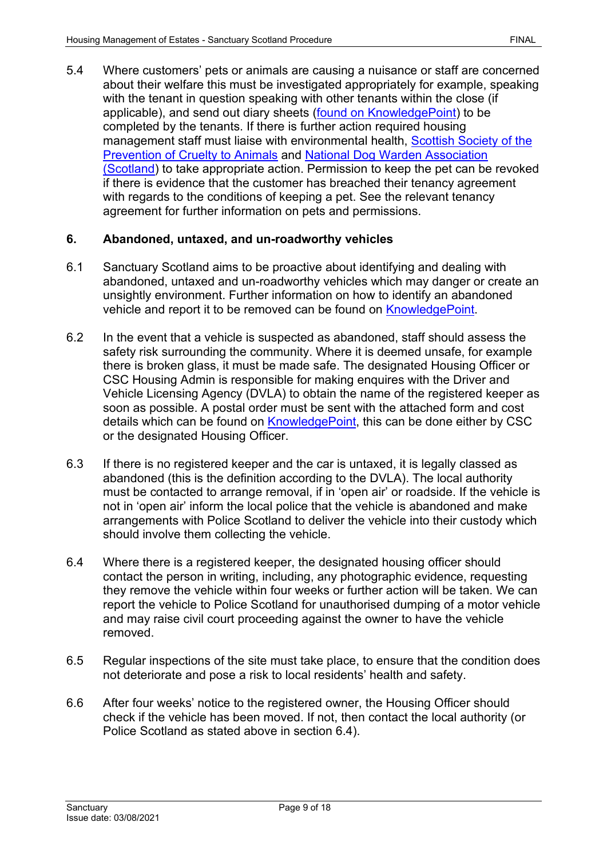5.4 Where customers' pets or animals are causing a nuisance or staff are concerned about their welfare this must be investigated appropriately for example, speaking with the tenant in question speaking with other tenants within the close (if applicable), and send out diary sheets [\(found on KnowledgePoint\)](https://knowledgepoint/housing/processes/grtenancyprocess/Pages/asbnewscotland.aspx) to be completed by the tenants. If there is further action required housing management staff must liaise with environmental health, Scottish Society of the [Prevention of Cruelty to Animals](https://www.scottishspca.org/) and [National Dog Warden Association](http://www.ndwa.co.uk/) [\(Scotland\)](http://www.ndwa.co.uk/) to take appropriate action. Permission to keep the pet can be revoked if there is evidence that the customer has breached their tenancy agreement with regards to the conditions of keeping a pet. See the relevant tenancy agreement for further information on pets and permissions.

## <span id="page-8-0"></span>**6. Abandoned, untaxed, and un-roadworthy vehicles**

- 6.1 Sanctuary Scotland aims to be proactive about identifying and dealing with abandoned, untaxed and un-roadworthy vehicles which may danger or create an unsightly environment. Further information on how to identify an abandoned vehicle and report it to be removed can be found on [KnowledgePoint.](https://knowledgepoint/housing/processes/grtenancyprocess/Pages/abandonedvehiclescot.aspx)
- 6.2 In the event that a vehicle is suspected as abandoned, staff should assess the safety risk surrounding the community. Where it is deemed unsafe, for example there is broken glass, it must be made safe. The designated Housing Officer or CSC Housing Admin is responsible for making enquires with the Driver and Vehicle Licensing Agency (DVLA) to obtain the name of the registered keeper as soon as possible. A postal order must be sent with the attached form and cost details which can be found on [KnowledgePoint,](https://knowledgepoint/housing/processes/grtenancyprocess/Pages/abandonedvehiclescot.aspx) this can be done either by CSC or the designated Housing Officer.
- 6.3 If there is no registered keeper and the car is untaxed, it is legally classed as abandoned (this is the definition according to the DVLA). The local authority must be contacted to arrange removal, if in 'open air' or roadside. If the vehicle is not in 'open air' inform the local police that the vehicle is abandoned and make arrangements with Police Scotland to deliver the vehicle into their custody which should involve them collecting the vehicle.
- 6.4 Where there is a registered keeper, the designated housing officer should contact the person in writing, including, any photographic evidence, requesting they remove the vehicle within four weeks or further action will be taken. We can report the vehicle to Police Scotland for unauthorised dumping of a motor vehicle and may raise civil court proceeding against the owner to have the vehicle removed.
- 6.5 Regular inspections of the site must take place, to ensure that the condition does not deteriorate and pose a risk to local residents' health and safety.
- 6.6 After four weeks' notice to the registered owner, the Housing Officer should check if the vehicle has been moved. If not, then contact the local authority (or Police Scotland as stated above in section 6.4).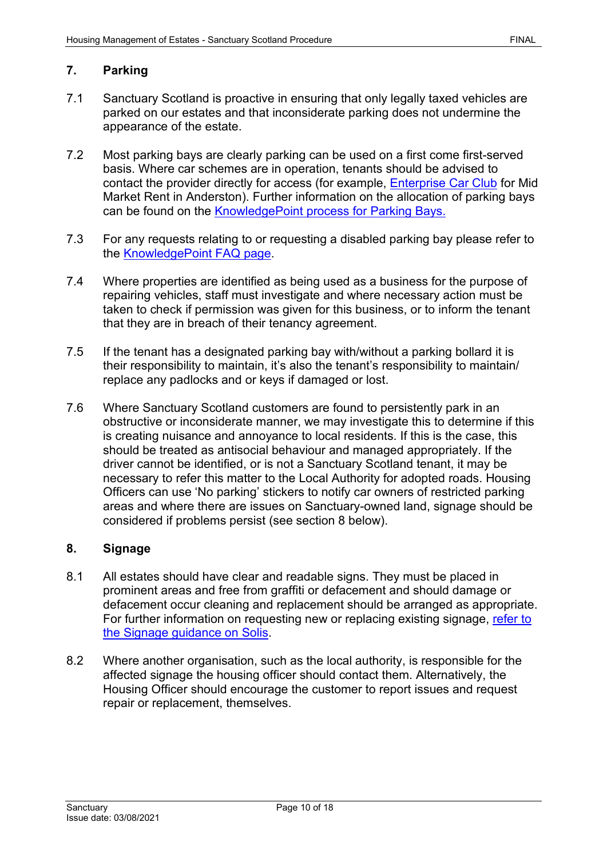## <span id="page-9-0"></span>**7. Parking**

- 7.1 Sanctuary Scotland is proactive in ensuring that only legally taxed vehicles are parked on our estates and that inconsiderate parking does not undermine the appearance of the estate.
- 7.2 Most parking bays are clearly parking can be used on a first come first-served basis. Where car schemes are in operation, tenants should be advised to contact the provider directly for access (for example, *Enterprise Car Club* for Mid Market Rent in Anderston). Further information on the allocation of parking bays can be found on the [KnowledgePoint process for Parking Bays.](https://knowledgepoint/housing/processes/grtenancyprocess/Pages/Parking-Bay-(New-Allocations)---Scotland-Only.aspx)
- 7.3 For any requests relating to or requesting a disabled parking bay please refer to the [KnowledgePoint FAQ page.](https://knowledgepoint/housing/faqs/grtenancyfaq/Pages/CarsParkingGarages.aspx)
- 7.4 Where properties are identified as being used as a business for the purpose of repairing vehicles, staff must investigate and where necessary action must be taken to check if permission was given for this business, or to inform the tenant that they are in breach of their tenancy agreement.
- 7.5 If the tenant has a designated parking bay with/without a parking bollard it is their responsibility to maintain, it's also the tenant's responsibility to maintain/ replace any padlocks and or keys if damaged or lost.
- 7.6 Where Sanctuary Scotland customers are found to persistently park in an obstructive or inconsiderate manner, we may investigate this to determine if this is creating nuisance and annoyance to local residents. If this is the case, this should be treated as antisocial behaviour and managed appropriately. If the driver cannot be identified, or is not a Sanctuary Scotland tenant, it may be necessary to refer this matter to the Local Authority for adopted roads. Housing Officers can use 'No parking' stickers to notify car owners of restricted parking areas and where there are issues on Sanctuary-owned land, signage should be considered if problems persist (see section 8 below).

#### <span id="page-9-1"></span>**8. Signage**

- 8.1 All estates should have clear and readable signs. They must be placed in prominent areas and free from graffiti or defacement and should damage or defacement occur cleaning and replacement should be arranged as appropriate. For further information on requesting new or replacing existing signage, [refer to](https://solis/SG/PServices/goods-services-suppliers/Pages/Signage.aspx) [the Signage guidance on](https://solis/SG/PServices/goods-services-suppliers/Pages/Signage.aspx) Solis.
- 8.2 Where another organisation, such as the local authority, is responsible for the affected signage the housing officer should contact them. Alternatively, the Housing Officer should encourage the customer to report issues and request repair or replacement, themselves.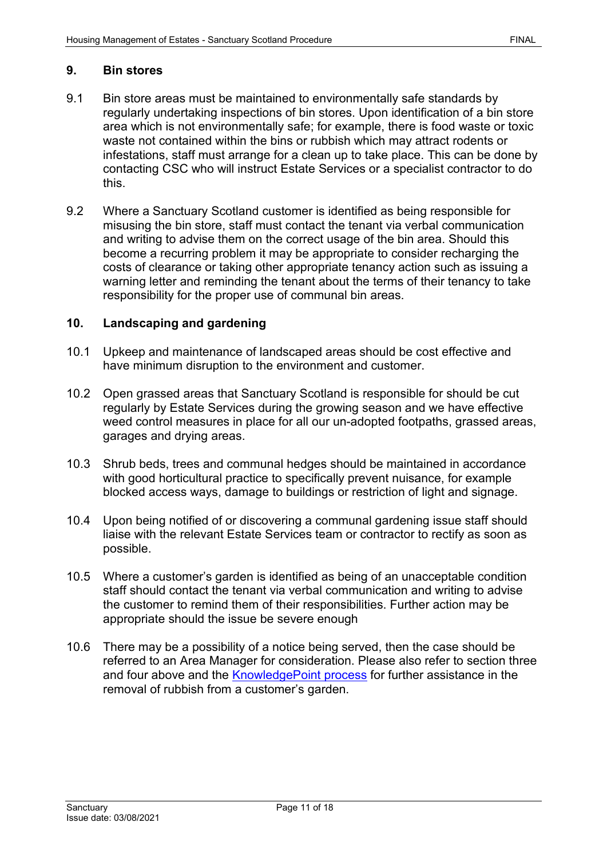#### <span id="page-10-0"></span>**9. Bin stores**

- 9.1 Bin store areas must be maintained to environmentally safe standards by regularly undertaking inspections of bin stores. Upon identification of a bin store area which is not environmentally safe; for example, there is food waste or toxic waste not contained within the bins or rubbish which may attract rodents or infestations, staff must arrange for a clean up to take place. This can be done by contacting CSC who will instruct Estate Services or a specialist contractor to do this.
- 9.2 Where a Sanctuary Scotland customer is identified as being responsible for misusing the bin store, staff must contact the tenant via verbal communication and writing to advise them on the correct usage of the bin area. Should this become a recurring problem it may be appropriate to consider recharging the costs of clearance or taking other appropriate tenancy action such as issuing a warning letter and reminding the tenant about the terms of their tenancy to take responsibility for the proper use of communal bin areas.

#### <span id="page-10-1"></span>**10. Landscaping and gardening**

- 10.1 Upkeep and maintenance of landscaped areas should be cost effective and have minimum disruption to the environment and customer.
- 10.2 Open grassed areas that Sanctuary Scotland is responsible for should be cut regularly by Estate Services during the growing season and we have effective weed control measures in place for all our un-adopted footpaths, grassed areas, garages and drying areas.
- 10.3 Shrub beds, trees and communal hedges should be maintained in accordance with good horticultural practice to specifically prevent nuisance, for example blocked access ways, damage to buildings or restriction of light and signage.
- 10.4 Upon being notified of or discovering a communal gardening issue staff should liaise with the relevant Estate Services team or contractor to rectify as soon as possible.
- 10.5 Where a customer's garden is identified as being of an unacceptable condition staff should contact the tenant via verbal communication and writing to advise the customer to remind them of their responsibilities. Further action may be appropriate should the issue be severe enough
- 10.6 There may be a possibility of a notice being served, then the case should be referred to an Area Manager for consideration. Please also refer to section three and four above and the **KnowledgePoint process** for further assistance in the removal of rubbish from a customer's garden.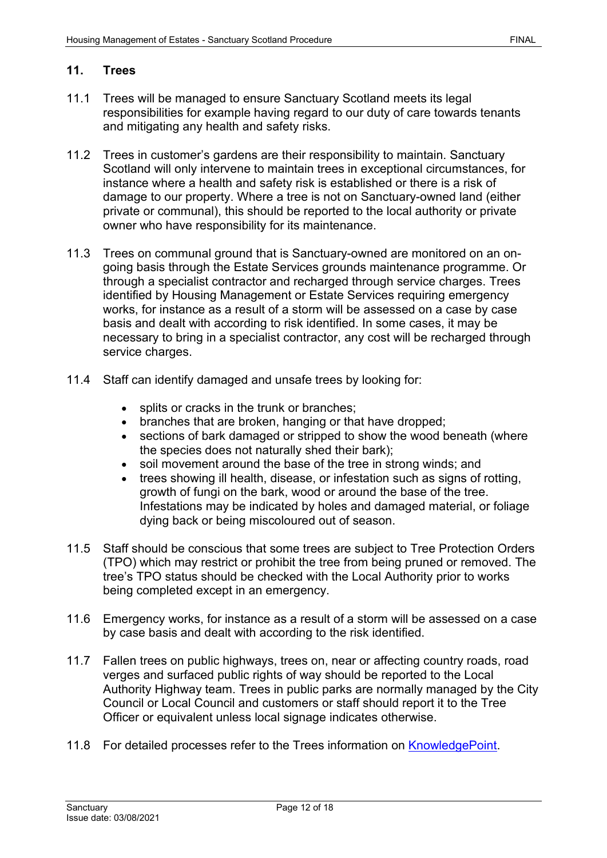#### <span id="page-11-0"></span>**11. Trees**

- 11.1 Trees will be managed to ensure Sanctuary Scotland meets its legal responsibilities for example having regard to our duty of care towards tenants and mitigating any health and safety risks.
- 11.2 Trees in customer's gardens are their responsibility to maintain. Sanctuary Scotland will only intervene to maintain trees in exceptional circumstances, for instance where a health and safety risk is established or there is a risk of damage to our property. Where a tree is not on Sanctuary-owned land (either private or communal), this should be reported to the local authority or private owner who have responsibility for its maintenance.
- 11.3 Trees on communal ground that is Sanctuary-owned are monitored on an ongoing basis through the Estate Services grounds maintenance programme. Or through a specialist contractor and recharged through service charges. Trees identified by Housing Management or Estate Services requiring emergency works, for instance as a result of a storm will be assessed on a case by case basis and dealt with according to risk identified. In some cases, it may be necessary to bring in a specialist contractor, any cost will be recharged through service charges.
- 11.4 Staff can identify damaged and unsafe trees by looking for:
	- splits or cracks in the trunk or branches:
	- branches that are broken, hanging or that have dropped;
	- sections of bark damaged or stripped to show the wood beneath (where the species does not naturally shed their bark);
	- soil movement around the base of the tree in strong winds; and
	- trees showing ill health, disease, or infestation such as signs of rotting, growth of fungi on the bark, wood or around the base of the tree. Infestations may be indicated by holes and damaged material, or foliage dying back or being miscoloured out of season.
- 11.5 Staff should be conscious that some trees are subject to Tree Protection Orders (TPO) which may restrict or prohibit the tree from being pruned or removed. The tree's TPO status should be checked with the Local Authority prior to works being completed except in an emergency.
- 11.6 Emergency works, for instance as a result of a storm will be assessed on a case by case basis and dealt with according to the risk identified.
- 11.7 Fallen trees on public highways, trees on, near or affecting country roads, road verges and surfaced public rights of way should be reported to the Local Authority Highway team. Trees in public parks are normally managed by the City Council or Local Council and customers or staff should report it to the Tree Officer or equivalent unless local signage indicates otherwise.
- 11.8 For detailed processes refer to the Trees information on [KnowledgePoint.](https://knowledgepoint/housing/processes/grtenancyprocess/Pages/Trees.aspx)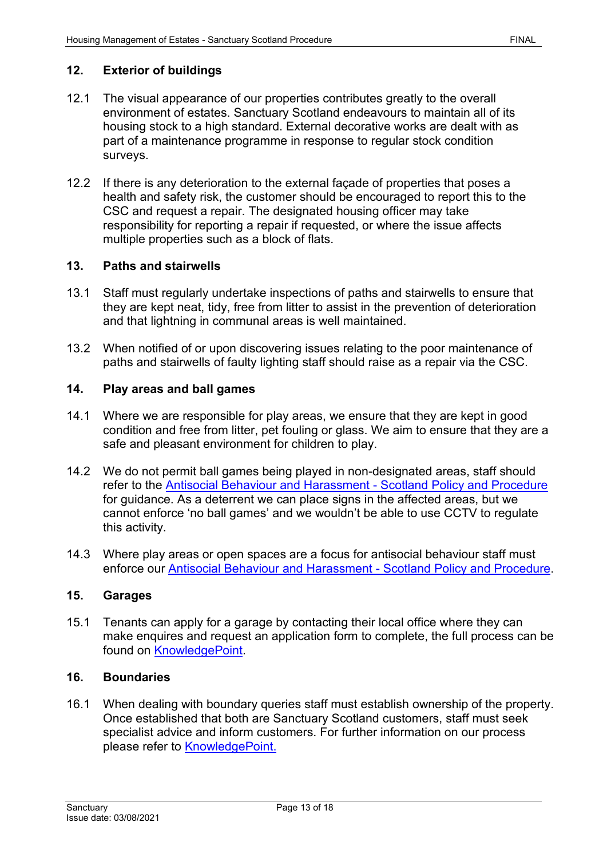#### <span id="page-12-0"></span>**12. Exterior of buildings**

- 12.1 The visual appearance of our properties contributes greatly to the overall environment of estates. Sanctuary Scotland endeavours to maintain all of its housing stock to a high standard. External decorative works are dealt with as part of a maintenance programme in response to regular stock condition surveys.
- 12.2 If there is any deterioration to the external façade of properties that poses a health and safety risk, the customer should be encouraged to report this to the CSC and request a repair. The designated housing officer may take responsibility for reporting a repair if requested, or where the issue affects multiple properties such as a block of flats.

#### <span id="page-12-1"></span>**13. Paths and stairwells**

- 13.1 Staff must regularly undertake inspections of paths and stairwells to ensure that they are kept neat, tidy, free from litter to assist in the prevention of deterioration and that lightning in communal areas is well maintained.
- 13.2 When notified of or upon discovering issues relating to the poor maintenance of paths and stairwells of faulty lighting staff should raise as a repair via the CSC.

#### <span id="page-12-2"></span>**14. Play areas and ball games**

- 14.1 Where we are responsible for play areas, we ensure that they are kept in good condition and free from litter, pet fouling or glass. We aim to ensure that they are a safe and pleasant environment for children to play.
- 14.2 We do not permit ball games being played in non-designated areas, staff should refer to the [Antisocial Behaviour and Harassment -](https://solis/PolicyManagement/policy/Policies/Forms/Policy%20Document%20Set/docsethomepage.aspx?ID=4360&FolderCTID=0x0120D52000DE99EA054D4DF944BE591D81E49729D0008C670BDB86BED740B0B89E295CD8357C&List=a03723e1-d48b-4958-9669-9b86a90ef8b0&RootFolder=%2FPolicyManagement%2Fpolicy%2FPolicies%2FAntisocial%20Behaviour%20and%20Harassment%20%2D%20Scotland&RecSrc=%2FPolicyManagement%2Fpolicy%2FPolicies%2FAntisocial%20Behaviour%20and%20Harassment%20%2D%20Scotland) Scotland Policy and Procedure for guidance. As a deterrent we can place signs in the affected areas, but we cannot enforce 'no ball games' and we wouldn't be able to use CCTV to regulate this activity.
- 14.3 Where play areas or open spaces are a focus for antisocial behaviour staff must enforce our [Antisocial Behaviour and Harassment -](https://solis/PolicyManagement/policy/Policies/Forms/Policy%20Document%20Set/docsethomepage.aspx?ID=4360&FolderCTID=0x0120D52000DE99EA054D4DF944BE591D81E49729D0008C670BDB86BED740B0B89E295CD8357C&List=a03723e1-d48b-4958-9669-9b86a90ef8b0&RootFolder=%2FPolicyManagement%2Fpolicy%2FPolicies%2FAntisocial%20Behaviour%20and%20Harassment%20%2D%20Scotland&RecSrc=%2FPolicyManagement%2Fpolicy%2FPolicies%2FAntisocial%20Behaviour%20and%20Harassment%20%2D%20Scotland) Scotland Policy and Procedure.

#### <span id="page-12-3"></span>**15. Garages**

15.1 Tenants can apply for a garage by contacting their local office where they can make enquires and request an application form to complete, the full process can be found on [KnowledgePoint.](https://knowledgepoint/housing/processes/grlettingsprocess/Pages/garageappscot.aspx)

#### <span id="page-12-4"></span>**16. Boundaries**

16.1 When dealing with boundary queries staff must establish ownership of the property. Once established that both are Sanctuary Scotland customers, staff must seek specialist advice and inform customers. For further information on our process please refer to [KnowledgePoint.](https://knowledgepoint/housing/processes/grtenancyprocess/Pages/Boundary%20Enquiries.aspx)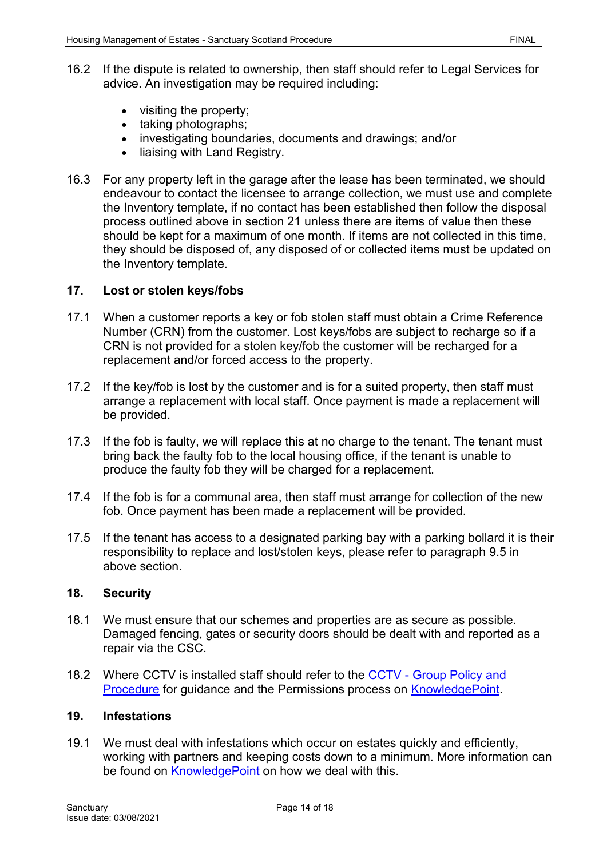- 16.2 If the dispute is related to ownership, then staff should refer to Legal Services for advice. An investigation may be required including:
	- visiting the property;
	- taking photographs;
	- investigating boundaries, documents and drawings; and/or
	- liaising with Land Registry.
- 16.3 For any property left in the garage after the lease has been terminated, we should endeavour to contact the licensee to arrange collection, we must use and complete the Inventory template, if no contact has been established then follow the disposal process outlined above in section 21 unless there are items of value then these should be kept for a maximum of one month. If items are not collected in this time, they should be disposed of, any disposed of or collected items must be updated on the Inventory template.

## <span id="page-13-0"></span>**17. Lost or stolen keys/fobs**

- 17.1 When a customer reports a key or fob stolen staff must obtain a Crime Reference Number (CRN) from the customer. Lost keys/fobs are subject to recharge so if a CRN is not provided for a stolen key/fob the customer will be recharged for a replacement and/or forced access to the property.
- 17.2 If the key/fob is lost by the customer and is for a suited property, then staff must arrange a replacement with local staff. Once payment is made a replacement will be provided.
- 17.3 If the fob is faulty, we will replace this at no charge to the tenant. The tenant must bring back the faulty fob to the local housing office, if the tenant is unable to produce the faulty fob they will be charged for a replacement.
- 17.4 If the fob is for a communal area, then staff must arrange for collection of the new fob. Once payment has been made a replacement will be provided.
- 17.5 If the tenant has access to a designated parking bay with a parking bollard it is their responsibility to replace and lost/stolen keys, please refer to paragraph 9.5 in above section.

## <span id="page-13-1"></span>**18. Security**

- 18.1 We must ensure that our schemes and properties are as secure as possible. Damaged fencing, gates or security doors should be dealt with and reported as a repair via the CSC.
- 18.2 Where CCTV is installed staff should refer to the CCTV [Group Policy and](https://solis/PolicyManagement/policy/Policies/Forms/Policy%20Document%20Set/docsethomepage.aspx?ID=4036&FolderCTID=0x0120D52000DE99EA054D4DF944BE591D81E49729D0008C670BDB86BED740B0B89E295CD8357C&List=a03723e1-d48b-4958-9669-9b86a90ef8b0&RootFolder=%2FPolicyManagement%2Fpolicy%2FPolicies%2FClosed%20Circuit%20Television%20%28CCTV%29%20%2D%20Group&RecSrc=%2FPolicyManagement%2Fpolicy%2FPolicies%2FClosed%20Circuit%20Television%20%28CCTV%29%20%2D%20Group)  [Procedure](https://solis/PolicyManagement/policy/Policies/Forms/Policy%20Document%20Set/docsethomepage.aspx?ID=4036&FolderCTID=0x0120D52000DE99EA054D4DF944BE591D81E49729D0008C670BDB86BED740B0B89E295CD8357C&List=a03723e1-d48b-4958-9669-9b86a90ef8b0&RootFolder=%2FPolicyManagement%2Fpolicy%2FPolicies%2FClosed%20Circuit%20Television%20%28CCTV%29%20%2D%20Group&RecSrc=%2FPolicyManagement%2Fpolicy%2FPolicies%2FClosed%20Circuit%20Television%20%28CCTV%29%20%2D%20Group) for quidance and the Permissions process on [KnowledgePoint.](https://knowledgepoint/housing/processes/grtenancyprocess/Pages/Permissions.aspx)

#### <span id="page-13-2"></span>**19. Infestations**

19.1 We must deal with infestations which occur on estates quickly and efficiently, working with partners and keeping costs down to a minimum. More information can be found on [KnowledgePoint](https://knowledgepoint/repairs/faq/outdoors/Pages/Pests.aspx) on how we deal with this.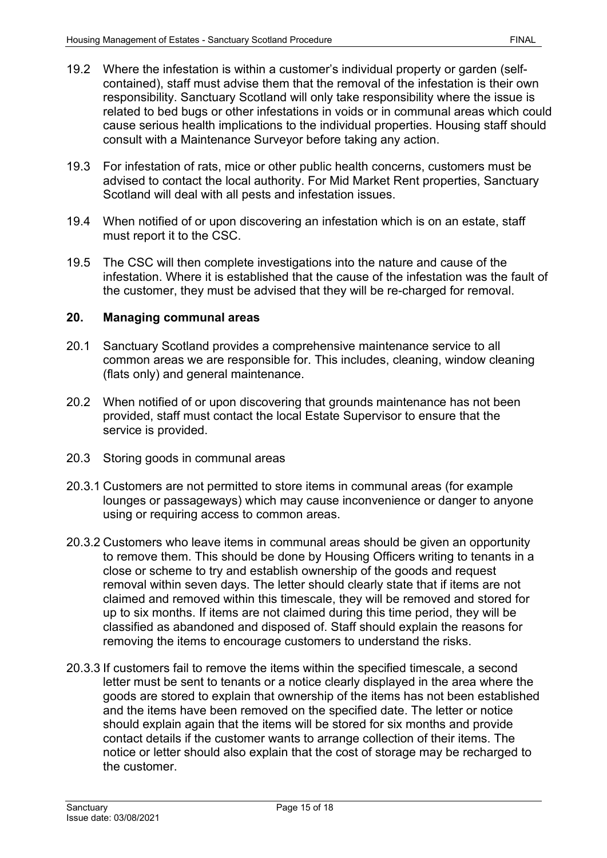- 19.2 Where the infestation is within a customer's individual property or garden (selfcontained), staff must advise them that the removal of the infestation is their own responsibility. Sanctuary Scotland will only take responsibility where the issue is related to bed bugs or other infestations in voids or in communal areas which could cause serious health implications to the individual properties. Housing staff should consult with a Maintenance Surveyor before taking any action.
- 19.3 For infestation of rats, mice or other public health concerns, customers must be advised to contact the local authority. For Mid Market Rent properties, Sanctuary Scotland will deal with all pests and infestation issues.
- 19.4 When notified of or upon discovering an infestation which is on an estate, staff must report it to the CSC.
- 19.5 The CSC will then complete investigations into the nature and cause of the infestation. Where it is established that the cause of the infestation was the fault of the customer, they must be advised that they will be re-charged for removal.

## <span id="page-14-0"></span>**20. Managing communal areas**

- 20.1 Sanctuary Scotland provides a comprehensive maintenance service to all common areas we are responsible for. This includes, cleaning, window cleaning (flats only) and general maintenance.
- 20.2 When notified of or upon discovering that grounds maintenance has not been provided, staff must contact the local Estate Supervisor to ensure that the service is provided.
- 20.3 Storing goods in communal areas
- 20.3.1 Customers are not permitted to store items in communal areas (for example lounges or passageways) which may cause inconvenience or danger to anyone using or requiring access to common areas.
- 20.3.2 Customers who leave items in communal areas should be given an opportunity to remove them. This should be done by Housing Officers writing to tenants in a close or scheme to try and establish ownership of the goods and request removal within seven days. The letter should clearly state that if items are not claimed and removed within this timescale, they will be removed and stored for up to six months. If items are not claimed during this time period, they will be classified as abandoned and disposed of. Staff should explain the reasons for removing the items to encourage customers to understand the risks.
- 20.3.3 If customers fail to remove the items within the specified timescale, a second letter must be sent to tenants or a notice clearly displayed in the area where the goods are stored to explain that ownership of the items has not been established and the items have been removed on the specified date. The letter or notice should explain again that the items will be stored for six months and provide contact details if the customer wants to arrange collection of their items. The notice or letter should also explain that the cost of storage may be recharged to the customer.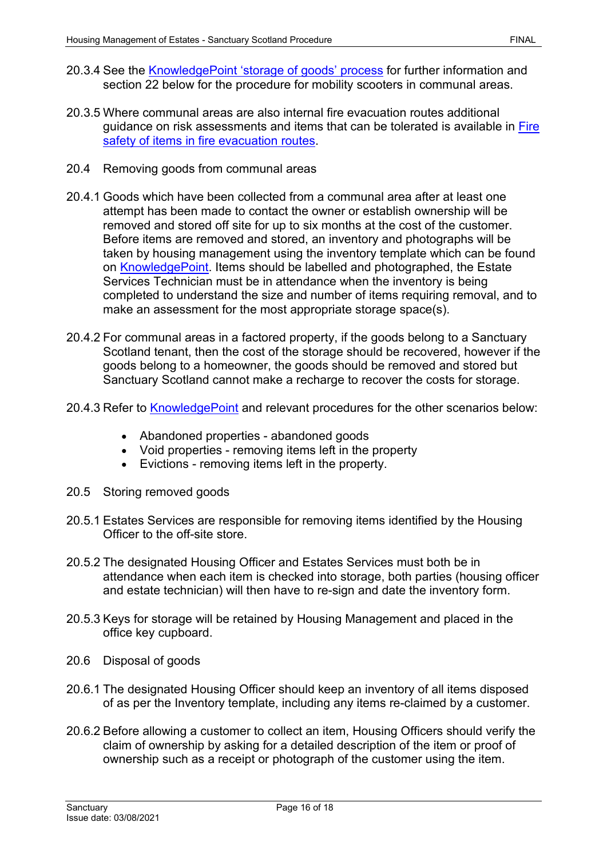- 20.3.4 See the [KnowledgePoint](https://knowledgepoint/housing/faqs/grtenancyfaq/Pages/storageofgoods.aspx) 'storage of goods' process for further information and section 22 below for the procedure for mobility scooters in communal areas.
- 20.3.5 Where communal areas are also internal fire evacuation routes additional guidance on risk assessments and items that can be tolerated is available in [Fire](https://knowledgepoint/housing/processes/grtenancyprocess/_layouts/15/WopiFrame.aspx?sourcedoc=%7B0C322AEB-9BC9-4971-AA6C-D60FEA597EBF%7D&file=Fire%20Safety%20of%20Items%20in%20Evacuation%20Routes%20-%20V10.docx&action=default&DefaultItemOpen=1)  [safety of items in fire evacuation routes.](https://knowledgepoint/housing/processes/grtenancyprocess/_layouts/15/WopiFrame.aspx?sourcedoc=%7B0C322AEB-9BC9-4971-AA6C-D60FEA597EBF%7D&file=Fire%20Safety%20of%20Items%20in%20Evacuation%20Routes%20-%20V10.docx&action=default&DefaultItemOpen=1)
- 20.4 Removing goods from communal areas
- 20.4.1 Goods which have been collected from a communal area after at least one attempt has been made to contact the owner or establish ownership will be removed and stored off site for up to six months at the cost of the customer. Before items are removed and stored, an inventory and photographs will be taken by housing management using the inventory template which can be found on [KnowledgePoint.](https://knowledgepoint/housing/faqs/grtenancyfaq/Pages/storageofgoods.aspx) Items should be labelled and photographed, the Estate Services Technician must be in attendance when the inventory is being completed to understand the size and number of items requiring removal, and to make an assessment for the most appropriate storage space(s).
- 20.4.2 For communal areas in a factored property, if the goods belong to a Sanctuary Scotland tenant, then the cost of the storage should be recovered, however if the goods belong to a homeowner, the goods should be removed and stored but Sanctuary Scotland cannot make a recharge to recover the costs for storage.
- 20.4.3 Refer to [KnowledgePoint](https://knowledgepoint/housing/faqs/grtenancyfaq/Pages/storageofgoods.aspx) and relevant procedures for the other scenarios below:
	- Abandoned properties abandoned goods
	- Void properties removing items left in the property
	- Evictions removing items left in the property.
- 20.5 Storing removed goods
- 20.5.1 Estates Services are responsible for removing items identified by the Housing Officer to the off-site store.
- 20.5.2 The designated Housing Officer and Estates Services must both be in attendance when each item is checked into storage, both parties (housing officer and estate technician) will then have to re-sign and date the inventory form.
- 20.5.3 Keys for storage will be retained by Housing Management and placed in the office key cupboard.
- 20.6 Disposal of goods
- 20.6.1 The designated Housing Officer should keep an inventory of all items disposed of as per the Inventory template, including any items re-claimed by a customer.
- 20.6.2 Before allowing a customer to collect an item, Housing Officers should verify the claim of ownership by asking for a detailed description of the item or proof of ownership such as a receipt or photograph of the customer using the item.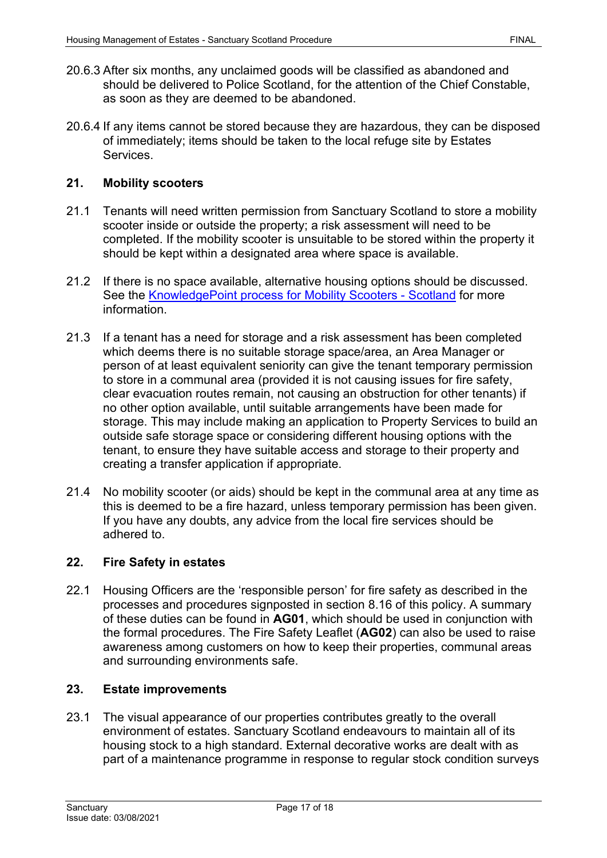- 20.6.3 After six months, any unclaimed goods will be classified as abandoned and should be delivered to Police Scotland, for the attention of the Chief Constable, as soon as they are deemed to be abandoned.
- 20.6.4 If any items cannot be stored because they are hazardous, they can be disposed of immediately; items should be taken to the local refuge site by Estates Services.

## <span id="page-16-0"></span>**21. Mobility scooters**

- 21.1 Tenants will need written permission from Sanctuary Scotland to store a mobility scooter inside or outside the property; a risk assessment will need to be completed. If the mobility scooter is unsuitable to be stored within the property it should be kept within a designated area where space is available.
- 21.2 If there is no space available, alternative housing options should be discussed. See the [KnowledgePoint process for Mobility Scooters -](https://knowledgepoint/housing/processes/grtenancyprocess/Pages/mobilityscooter.aspx) Scotland for more information.
- 21.3 If a tenant has a need for storage and a risk assessment has been completed which deems there is no suitable storage space/area, an Area Manager or person of at least equivalent seniority can give the tenant temporary permission to store in a communal area (provided it is not causing issues for fire safety, clear evacuation routes remain, not causing an obstruction for other tenants) if no other option available, until suitable arrangements have been made for storage. This may include making an application to Property Services to build an outside safe storage space or considering different housing options with the tenant, to ensure they have suitable access and storage to their property and creating a transfer application if appropriate.
- 21.4 No mobility scooter (or aids) should be kept in the communal area at any time as this is deemed to be a fire hazard, unless temporary permission has been given. If you have any doubts, any advice from the local fire services should be adhered to.

#### <span id="page-16-1"></span>**22. Fire Safety in estates**

22.1 Housing Officers are the 'responsible person' for fire safety as described in the processes and procedures signposted in section 8.16 of this policy. A summary of these duties can be found in **AG01**, which should be used in conjunction with the formal procedures. The Fire Safety Leaflet (**AG02**) can also be used to raise awareness among customers on how to keep their properties, communal areas and surrounding environments safe.

#### <span id="page-16-2"></span>**23. Estate improvements**

23.1 The visual appearance of our properties contributes greatly to the overall environment of estates. Sanctuary Scotland endeavours to maintain all of its housing stock to a high standard. External decorative works are dealt with as part of a maintenance programme in response to regular stock condition surveys